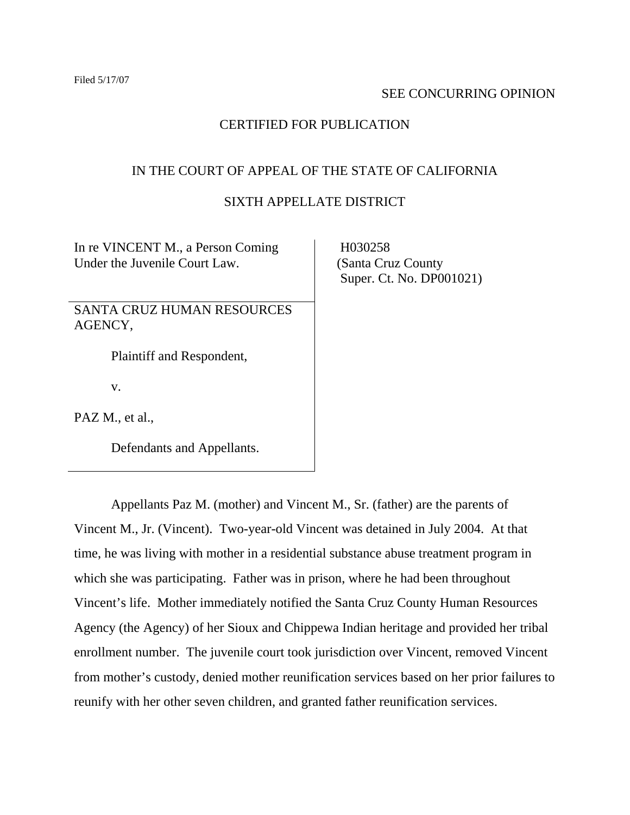### SEE CONCURRING OPINION

# CERTIFIED FOR PUBLICATION

# IN THE COURT OF APPEAL OF THE STATE OF CALIFORNIA

# SIXTH APPELLATE DISTRICT

In re VINCENT M., a Person Coming Under the Juvenile Court Law.

SANTA CRUZ HUMAN RESOURCES AGENCY,

Plaintiff and Respondent,

v.

PAZ M., et al.,

Defendants and Appellants.

 H030258 (Santa Cruz County Super. Ct. No. DP001021)

 Appellants Paz M. (mother) and Vincent M., Sr. (father) are the parents of Vincent M., Jr. (Vincent). Two-year-old Vincent was detained in July 2004. At that time, he was living with mother in a residential substance abuse treatment program in which she was participating. Father was in prison, where he had been throughout Vincent's life. Mother immediately notified the Santa Cruz County Human Resources Agency (the Agency) of her Sioux and Chippewa Indian heritage and provided her tribal enrollment number. The juvenile court took jurisdiction over Vincent, removed Vincent from mother's custody, denied mother reunification services based on her prior failures to reunify with her other seven children, and granted father reunification services.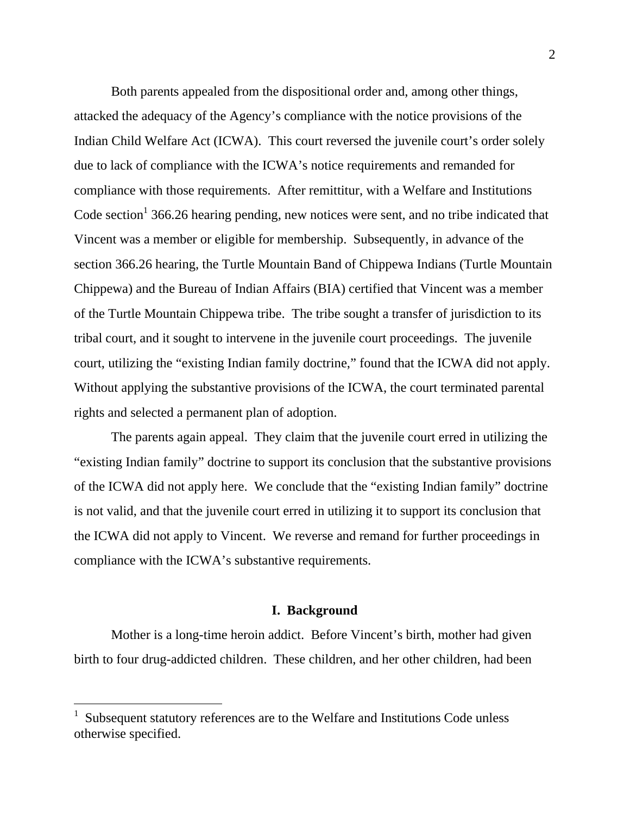Both parents appealed from the dispositional order and, among other things, attacked the adequacy of the Agency's compliance with the notice provisions of the Indian Child Welfare Act (ICWA). This court reversed the juvenile court's order solely due to lack of compliance with the ICWA's notice requirements and remanded for compliance with those requirements. After remittitur, with a Welfare and Institutions Code section<sup>1</sup> 366.26 hearing pending, new notices were sent, and no tribe indicated that Vincent was a member or eligible for membership. Subsequently, in advance of the section 366.26 hearing, the Turtle Mountain Band of Chippewa Indians (Turtle Mountain Chippewa) and the Bureau of Indian Affairs (BIA) certified that Vincent was a member of the Turtle Mountain Chippewa tribe. The tribe sought a transfer of jurisdiction to its tribal court, and it sought to intervene in the juvenile court proceedings. The juvenile court, utilizing the "existing Indian family doctrine," found that the ICWA did not apply. Without applying the substantive provisions of the ICWA, the court terminated parental rights and selected a permanent plan of adoption.

 The parents again appeal. They claim that the juvenile court erred in utilizing the "existing Indian family" doctrine to support its conclusion that the substantive provisions of the ICWA did not apply here. We conclude that the "existing Indian family" doctrine is not valid, and that the juvenile court erred in utilizing it to support its conclusion that the ICWA did not apply to Vincent. We reverse and remand for further proceedings in compliance with the ICWA's substantive requirements.

#### **I. Background**

 Mother is a long-time heroin addict. Before Vincent's birth, mother had given birth to four drug-addicted children. These children, and her other children, had been

<sup>1</sup> Subsequent statutory references are to the Welfare and Institutions Code unless otherwise specified.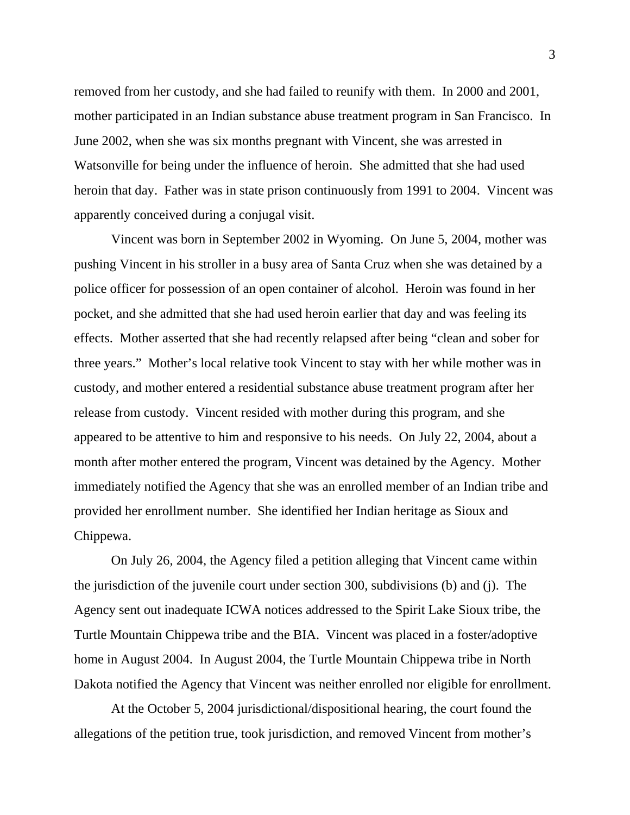removed from her custody, and she had failed to reunify with them. In 2000 and 2001, mother participated in an Indian substance abuse treatment program in San Francisco. In June 2002, when she was six months pregnant with Vincent, she was arrested in Watsonville for being under the influence of heroin. She admitted that she had used heroin that day. Father was in state prison continuously from 1991 to 2004. Vincent was apparently conceived during a conjugal visit.

 Vincent was born in September 2002 in Wyoming. On June 5, 2004, mother was pushing Vincent in his stroller in a busy area of Santa Cruz when she was detained by a police officer for possession of an open container of alcohol. Heroin was found in her pocket, and she admitted that she had used heroin earlier that day and was feeling its effects. Mother asserted that she had recently relapsed after being "clean and sober for three years." Mother's local relative took Vincent to stay with her while mother was in custody, and mother entered a residential substance abuse treatment program after her release from custody. Vincent resided with mother during this program, and she appeared to be attentive to him and responsive to his needs. On July 22, 2004, about a month after mother entered the program, Vincent was detained by the Agency. Mother immediately notified the Agency that she was an enrolled member of an Indian tribe and provided her enrollment number. She identified her Indian heritage as Sioux and Chippewa.

 On July 26, 2004, the Agency filed a petition alleging that Vincent came within the jurisdiction of the juvenile court under section 300, subdivisions (b) and (j). The Agency sent out inadequate ICWA notices addressed to the Spirit Lake Sioux tribe, the Turtle Mountain Chippewa tribe and the BIA. Vincent was placed in a foster/adoptive home in August 2004. In August 2004, the Turtle Mountain Chippewa tribe in North Dakota notified the Agency that Vincent was neither enrolled nor eligible for enrollment.

 At the October 5, 2004 jurisdictional/dispositional hearing, the court found the allegations of the petition true, took jurisdiction, and removed Vincent from mother's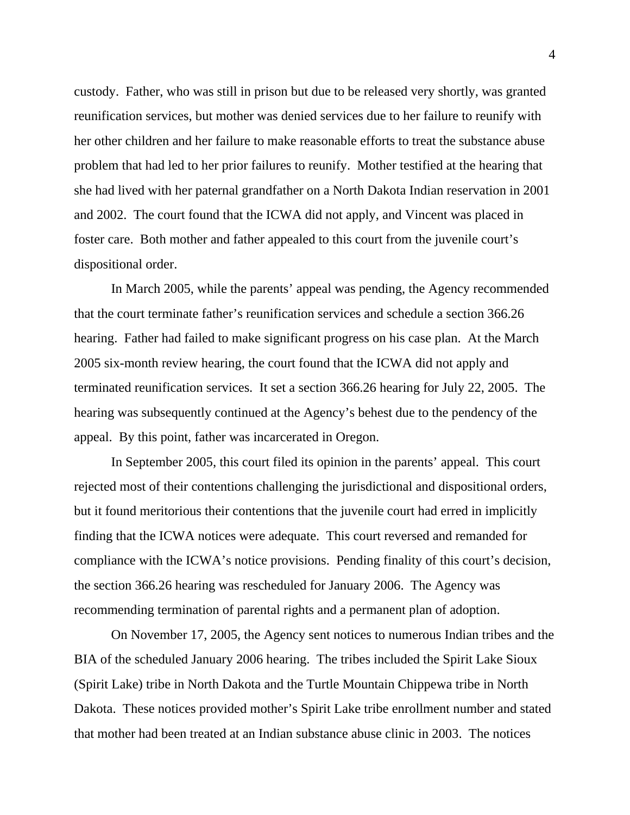custody. Father, who was still in prison but due to be released very shortly, was granted reunification services, but mother was denied services due to her failure to reunify with her other children and her failure to make reasonable efforts to treat the substance abuse problem that had led to her prior failures to reunify. Mother testified at the hearing that she had lived with her paternal grandfather on a North Dakota Indian reservation in 2001 and 2002. The court found that the ICWA did not apply, and Vincent was placed in foster care. Both mother and father appealed to this court from the juvenile court's dispositional order.

 In March 2005, while the parents' appeal was pending, the Agency recommended that the court terminate father's reunification services and schedule a section 366.26 hearing. Father had failed to make significant progress on his case plan. At the March 2005 six-month review hearing, the court found that the ICWA did not apply and terminated reunification services. It set a section 366.26 hearing for July 22, 2005. The hearing was subsequently continued at the Agency's behest due to the pendency of the appeal. By this point, father was incarcerated in Oregon.

 In September 2005, this court filed its opinion in the parents' appeal. This court rejected most of their contentions challenging the jurisdictional and dispositional orders, but it found meritorious their contentions that the juvenile court had erred in implicitly finding that the ICWA notices were adequate. This court reversed and remanded for compliance with the ICWA's notice provisions. Pending finality of this court's decision, the section 366.26 hearing was rescheduled for January 2006. The Agency was recommending termination of parental rights and a permanent plan of adoption.

 On November 17, 2005, the Agency sent notices to numerous Indian tribes and the BIA of the scheduled January 2006 hearing. The tribes included the Spirit Lake Sioux (Spirit Lake) tribe in North Dakota and the Turtle Mountain Chippewa tribe in North Dakota. These notices provided mother's Spirit Lake tribe enrollment number and stated that mother had been treated at an Indian substance abuse clinic in 2003. The notices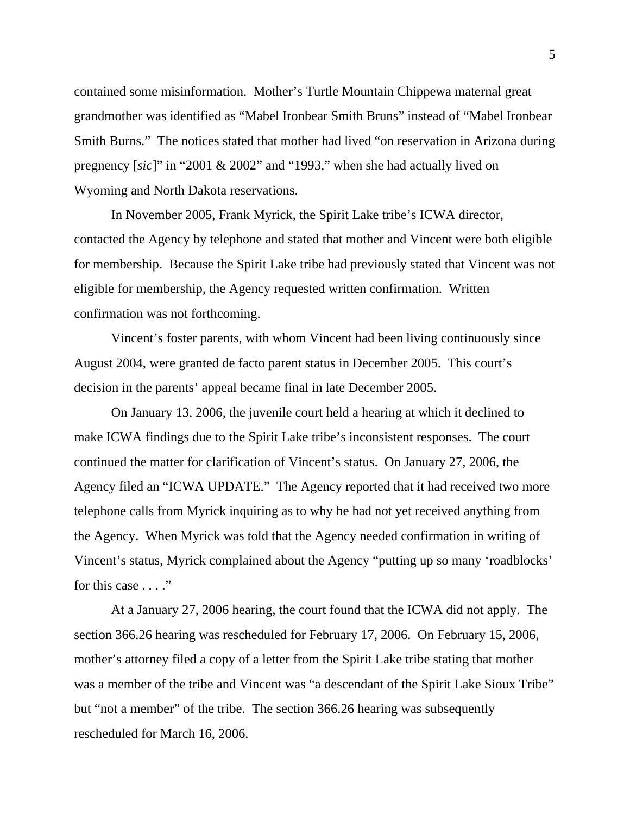contained some misinformation. Mother's Turtle Mountain Chippewa maternal great grandmother was identified as "Mabel Ironbear Smith Bruns" instead of "Mabel Ironbear Smith Burns." The notices stated that mother had lived "on reservation in Arizona during pregnency [*sic*]" in "2001 & 2002" and "1993," when she had actually lived on Wyoming and North Dakota reservations.

 In November 2005, Frank Myrick, the Spirit Lake tribe's ICWA director, contacted the Agency by telephone and stated that mother and Vincent were both eligible for membership. Because the Spirit Lake tribe had previously stated that Vincent was not eligible for membership, the Agency requested written confirmation. Written confirmation was not forthcoming.

 Vincent's foster parents, with whom Vincent had been living continuously since August 2004, were granted de facto parent status in December 2005. This court's decision in the parents' appeal became final in late December 2005.

 On January 13, 2006, the juvenile court held a hearing at which it declined to make ICWA findings due to the Spirit Lake tribe's inconsistent responses. The court continued the matter for clarification of Vincent's status. On January 27, 2006, the Agency filed an "ICWA UPDATE." The Agency reported that it had received two more telephone calls from Myrick inquiring as to why he had not yet received anything from the Agency. When Myrick was told that the Agency needed confirmation in writing of Vincent's status, Myrick complained about the Agency "putting up so many 'roadblocks' for this case  $\dots$ ."

 At a January 27, 2006 hearing, the court found that the ICWA did not apply. The section 366.26 hearing was rescheduled for February 17, 2006. On February 15, 2006, mother's attorney filed a copy of a letter from the Spirit Lake tribe stating that mother was a member of the tribe and Vincent was "a descendant of the Spirit Lake Sioux Tribe" but "not a member" of the tribe. The section 366.26 hearing was subsequently rescheduled for March 16, 2006.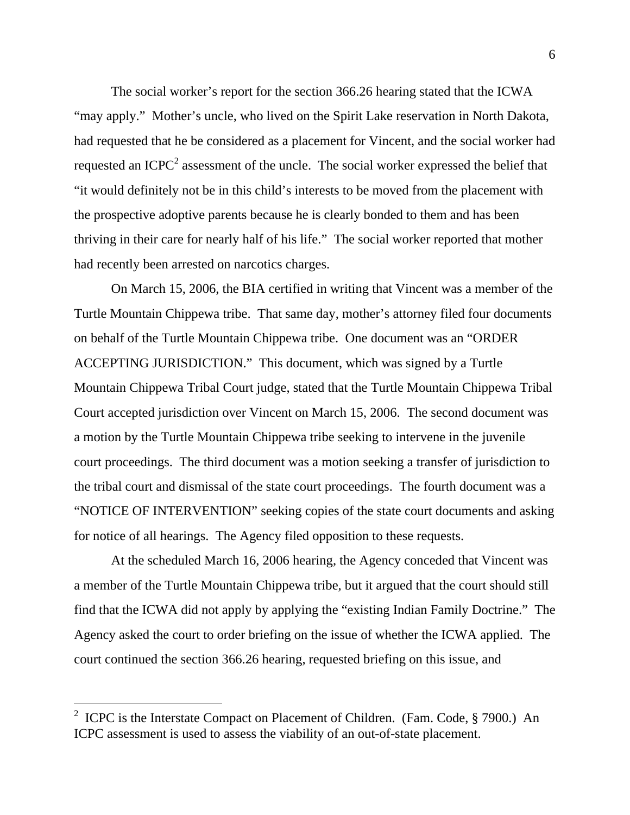The social worker's report for the section 366.26 hearing stated that the ICWA "may apply." Mother's uncle, who lived on the Spirit Lake reservation in North Dakota, had requested that he be considered as a placement for Vincent, and the social worker had requested an ICPC<sup>2</sup> assessment of the uncle. The social worker expressed the belief that "it would definitely not be in this child's interests to be moved from the placement with the prospective adoptive parents because he is clearly bonded to them and has been thriving in their care for nearly half of his life." The social worker reported that mother had recently been arrested on narcotics charges.

 On March 15, 2006, the BIA certified in writing that Vincent was a member of the Turtle Mountain Chippewa tribe. That same day, mother's attorney filed four documents on behalf of the Turtle Mountain Chippewa tribe. One document was an "ORDER ACCEPTING JURISDICTION." This document, which was signed by a Turtle Mountain Chippewa Tribal Court judge, stated that the Turtle Mountain Chippewa Tribal Court accepted jurisdiction over Vincent on March 15, 2006. The second document was a motion by the Turtle Mountain Chippewa tribe seeking to intervene in the juvenile court proceedings. The third document was a motion seeking a transfer of jurisdiction to the tribal court and dismissal of the state court proceedings. The fourth document was a "NOTICE OF INTERVENTION" seeking copies of the state court documents and asking for notice of all hearings. The Agency filed opposition to these requests.

 At the scheduled March 16, 2006 hearing, the Agency conceded that Vincent was a member of the Turtle Mountain Chippewa tribe, but it argued that the court should still find that the ICWA did not apply by applying the "existing Indian Family Doctrine." The Agency asked the court to order briefing on the issue of whether the ICWA applied. The court continued the section 366.26 hearing, requested briefing on this issue, and

 $\overline{a}$ 

<sup>&</sup>lt;sup>2</sup> ICPC is the Interstate Compact on Placement of Children. (Fam. Code,  $\S 7900$ .) An ICPC assessment is used to assess the viability of an out-of-state placement.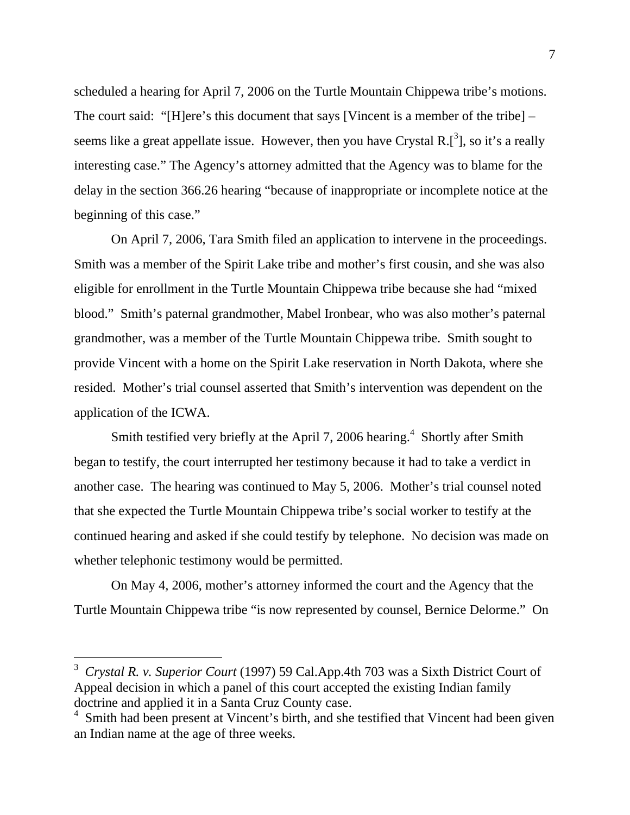scheduled a hearing for April 7, 2006 on the Turtle Mountain Chippewa tribe's motions. The court said: "[H]ere's this document that says [Vincent is a member of the tribe] – seems like a great appellate issue. However, then you have Crystal R. $[^3]$ , so it's a really interesting case." The Agency's attorney admitted that the Agency was to blame for the delay in the section 366.26 hearing "because of inappropriate or incomplete notice at the beginning of this case."

 On April 7, 2006, Tara Smith filed an application to intervene in the proceedings. Smith was a member of the Spirit Lake tribe and mother's first cousin, and she was also eligible for enrollment in the Turtle Mountain Chippewa tribe because she had "mixed blood." Smith's paternal grandmother, Mabel Ironbear, who was also mother's paternal grandmother, was a member of the Turtle Mountain Chippewa tribe. Smith sought to provide Vincent with a home on the Spirit Lake reservation in North Dakota, where she resided. Mother's trial counsel asserted that Smith's intervention was dependent on the application of the ICWA.

Smith testified very briefly at the April 7, 2006 hearing.<sup>4</sup> Shortly after Smith began to testify, the court interrupted her testimony because it had to take a verdict in another case. The hearing was continued to May 5, 2006. Mother's trial counsel noted that she expected the Turtle Mountain Chippewa tribe's social worker to testify at the continued hearing and asked if she could testify by telephone. No decision was made on whether telephonic testimony would be permitted.

 On May 4, 2006, mother's attorney informed the court and the Agency that the Turtle Mountain Chippewa tribe "is now represented by counsel, Bernice Delorme." On

 $\overline{a}$ 

<sup>3</sup> *Crystal R. v. Superior Court* (1997) 59 Cal.App.4th 703 was a Sixth District Court of Appeal decision in which a panel of this court accepted the existing Indian family doctrine and applied it in a Santa Cruz County case.

<sup>&</sup>lt;sup>4</sup> Smith had been present at Vincent's birth, and she testified that Vincent had been given an Indian name at the age of three weeks.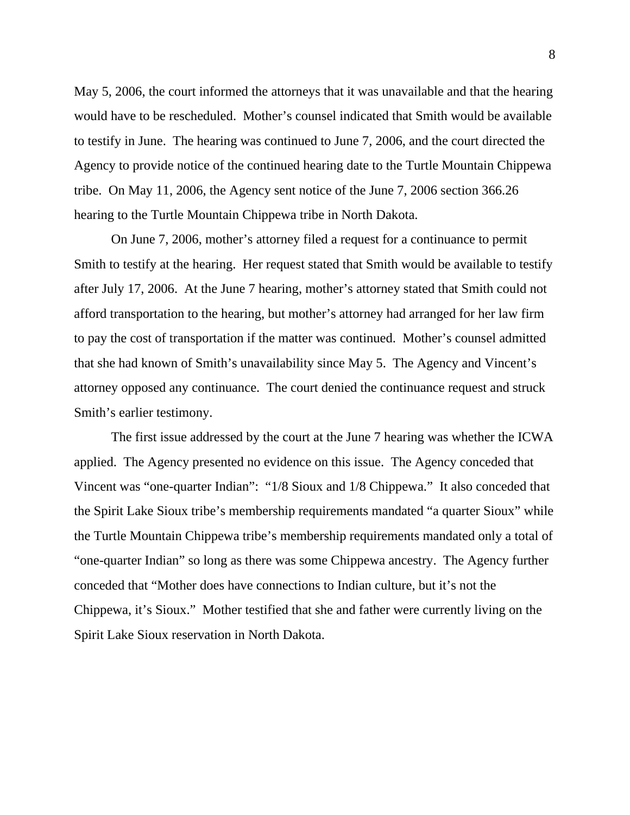May 5, 2006, the court informed the attorneys that it was unavailable and that the hearing would have to be rescheduled. Mother's counsel indicated that Smith would be available to testify in June. The hearing was continued to June 7, 2006, and the court directed the Agency to provide notice of the continued hearing date to the Turtle Mountain Chippewa tribe. On May 11, 2006, the Agency sent notice of the June 7, 2006 section 366.26 hearing to the Turtle Mountain Chippewa tribe in North Dakota.

 On June 7, 2006, mother's attorney filed a request for a continuance to permit Smith to testify at the hearing. Her request stated that Smith would be available to testify after July 17, 2006. At the June 7 hearing, mother's attorney stated that Smith could not afford transportation to the hearing, but mother's attorney had arranged for her law firm to pay the cost of transportation if the matter was continued. Mother's counsel admitted that she had known of Smith's unavailability since May 5. The Agency and Vincent's attorney opposed any continuance. The court denied the continuance request and struck Smith's earlier testimony.

 The first issue addressed by the court at the June 7 hearing was whether the ICWA applied. The Agency presented no evidence on this issue. The Agency conceded that Vincent was "one-quarter Indian": "1/8 Sioux and 1/8 Chippewa." It also conceded that the Spirit Lake Sioux tribe's membership requirements mandated "a quarter Sioux" while the Turtle Mountain Chippewa tribe's membership requirements mandated only a total of "one-quarter Indian" so long as there was some Chippewa ancestry. The Agency further conceded that "Mother does have connections to Indian culture, but it's not the Chippewa, it's Sioux." Mother testified that she and father were currently living on the Spirit Lake Sioux reservation in North Dakota.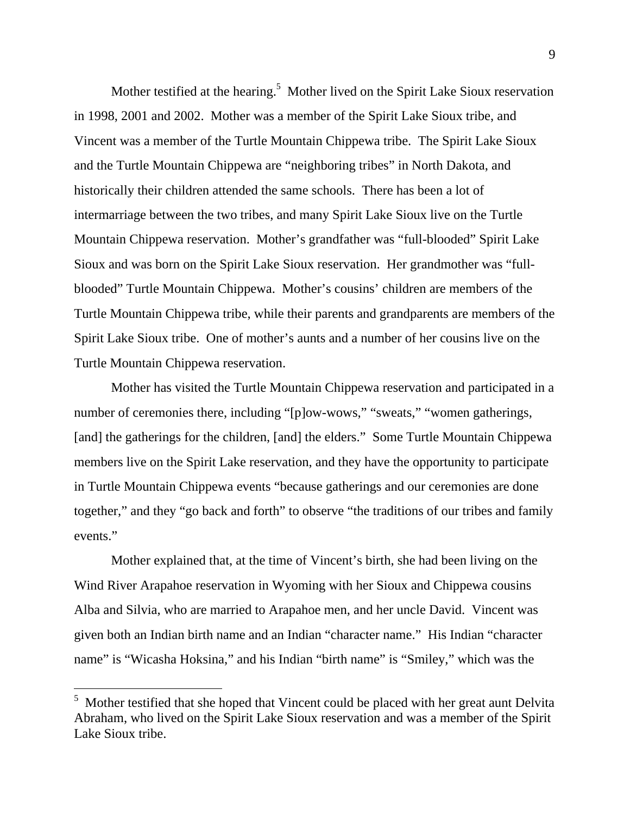Mother testified at the hearing.<sup>5</sup> Mother lived on the Spirit Lake Sioux reservation in 1998, 2001 and 2002. Mother was a member of the Spirit Lake Sioux tribe, and Vincent was a member of the Turtle Mountain Chippewa tribe. The Spirit Lake Sioux and the Turtle Mountain Chippewa are "neighboring tribes" in North Dakota, and historically their children attended the same schools. There has been a lot of intermarriage between the two tribes, and many Spirit Lake Sioux live on the Turtle Mountain Chippewa reservation. Mother's grandfather was "full-blooded" Spirit Lake Sioux and was born on the Spirit Lake Sioux reservation. Her grandmother was "fullblooded" Turtle Mountain Chippewa. Mother's cousins' children are members of the Turtle Mountain Chippewa tribe, while their parents and grandparents are members of the Spirit Lake Sioux tribe. One of mother's aunts and a number of her cousins live on the Turtle Mountain Chippewa reservation.

 Mother has visited the Turtle Mountain Chippewa reservation and participated in a number of ceremonies there, including "[p]ow-wows," "sweats," "women gatherings, [and] the gatherings for the children, [and] the elders." Some Turtle Mountain Chippewa members live on the Spirit Lake reservation, and they have the opportunity to participate in Turtle Mountain Chippewa events "because gatherings and our ceremonies are done together," and they "go back and forth" to observe "the traditions of our tribes and family events."

 Mother explained that, at the time of Vincent's birth, she had been living on the Wind River Arapahoe reservation in Wyoming with her Sioux and Chippewa cousins Alba and Silvia, who are married to Arapahoe men, and her uncle David. Vincent was given both an Indian birth name and an Indian "character name." His Indian "character name" is "Wicasha Hoksina," and his Indian "birth name" is "Smiley," which was the

 $\overline{a}$ 

<sup>&</sup>lt;sup>5</sup> Mother testified that she hoped that Vincent could be placed with her great aunt Delvita Abraham, who lived on the Spirit Lake Sioux reservation and was a member of the Spirit Lake Sioux tribe.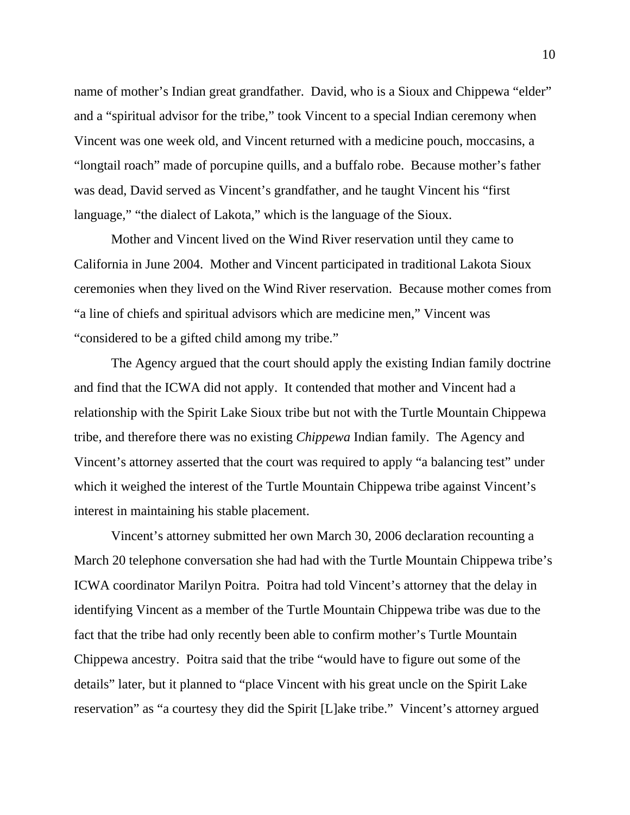name of mother's Indian great grandfather. David, who is a Sioux and Chippewa "elder" and a "spiritual advisor for the tribe," took Vincent to a special Indian ceremony when Vincent was one week old, and Vincent returned with a medicine pouch, moccasins, a "longtail roach" made of porcupine quills, and a buffalo robe. Because mother's father was dead, David served as Vincent's grandfather, and he taught Vincent his "first language," "the dialect of Lakota," which is the language of the Sioux.

 Mother and Vincent lived on the Wind River reservation until they came to California in June 2004. Mother and Vincent participated in traditional Lakota Sioux ceremonies when they lived on the Wind River reservation. Because mother comes from "a line of chiefs and spiritual advisors which are medicine men," Vincent was "considered to be a gifted child among my tribe."

 The Agency argued that the court should apply the existing Indian family doctrine and find that the ICWA did not apply. It contended that mother and Vincent had a relationship with the Spirit Lake Sioux tribe but not with the Turtle Mountain Chippewa tribe, and therefore there was no existing *Chippewa* Indian family. The Agency and Vincent's attorney asserted that the court was required to apply "a balancing test" under which it weighed the interest of the Turtle Mountain Chippewa tribe against Vincent's interest in maintaining his stable placement.

 Vincent's attorney submitted her own March 30, 2006 declaration recounting a March 20 telephone conversation she had had with the Turtle Mountain Chippewa tribe's ICWA coordinator Marilyn Poitra. Poitra had told Vincent's attorney that the delay in identifying Vincent as a member of the Turtle Mountain Chippewa tribe was due to the fact that the tribe had only recently been able to confirm mother's Turtle Mountain Chippewa ancestry. Poitra said that the tribe "would have to figure out some of the details" later, but it planned to "place Vincent with his great uncle on the Spirit Lake reservation" as "a courtesy they did the Spirit [L]ake tribe." Vincent's attorney argued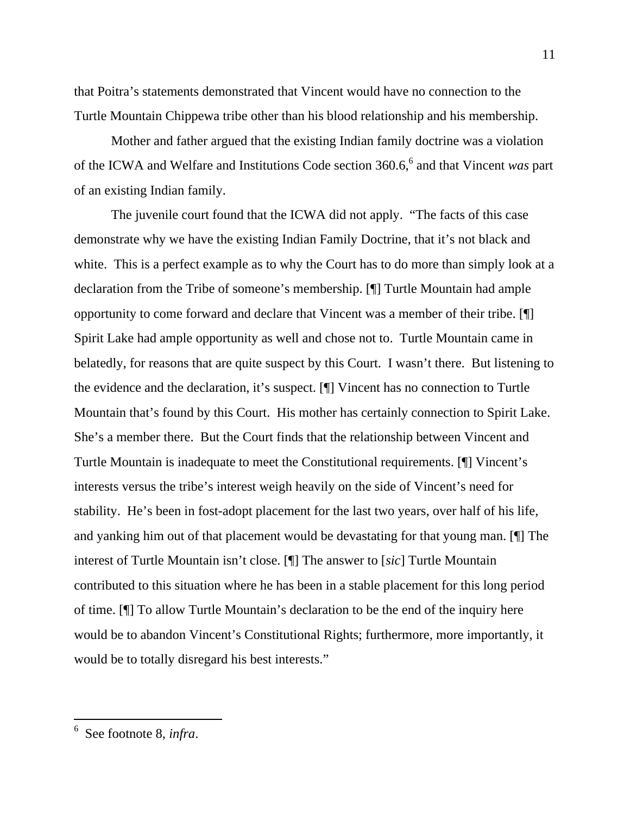that Poitra's statements demonstrated that Vincent would have no connection to the Turtle Mountain Chippewa tribe other than his blood relationship and his membership.

 Mother and father argued that the existing Indian family doctrine was a violation of the ICWA and Welfare and Institutions Code section 360.6,<sup>6</sup> and that Vincent *was* part of an existing Indian family.

 The juvenile court found that the ICWA did not apply. "The facts of this case demonstrate why we have the existing Indian Family Doctrine, that it's not black and white. This is a perfect example as to why the Court has to do more than simply look at a declaration from the Tribe of someone's membership. [¶] Turtle Mountain had ample opportunity to come forward and declare that Vincent was a member of their tribe. [¶] Spirit Lake had ample opportunity as well and chose not to. Turtle Mountain came in belatedly, for reasons that are quite suspect by this Court. I wasn't there. But listening to the evidence and the declaration, it's suspect. [¶] Vincent has no connection to Turtle Mountain that's found by this Court. His mother has certainly connection to Spirit Lake. She's a member there. But the Court finds that the relationship between Vincent and Turtle Mountain is inadequate to meet the Constitutional requirements. [¶] Vincent's interests versus the tribe's interest weigh heavily on the side of Vincent's need for stability. He's been in fost-adopt placement for the last two years, over half of his life, and yanking him out of that placement would be devastating for that young man. [¶] The interest of Turtle Mountain isn't close. [¶] The answer to [*sic*] Turtle Mountain contributed to this situation where he has been in a stable placement for this long period of time. [¶] To allow Turtle Mountain's declaration to be the end of the inquiry here would be to abandon Vincent's Constitutional Rights; furthermore, more importantly, it would be to totally disregard his best interests."

<sup>6</sup> See footnote 8, *infra*.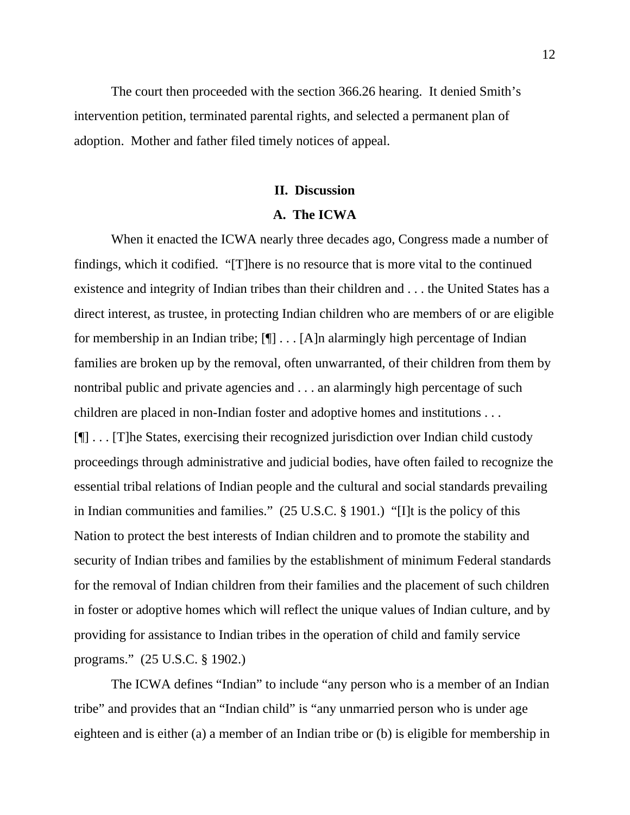The court then proceeded with the section 366.26 hearing. It denied Smith's intervention petition, terminated parental rights, and selected a permanent plan of adoption. Mother and father filed timely notices of appeal.

### **II. Discussion**

### **A. The ICWA**

 When it enacted the ICWA nearly three decades ago, Congress made a number of findings, which it codified. "[T]here is no resource that is more vital to the continued existence and integrity of Indian tribes than their children and . . . the United States has a direct interest, as trustee, in protecting Indian children who are members of or are eligible for membership in an Indian tribe;  $[\P] \dots [\A]$ n alarmingly high percentage of Indian families are broken up by the removal, often unwarranted, of their children from them by nontribal public and private agencies and . . . an alarmingly high percentage of such children are placed in non-Indian foster and adoptive homes and institutions . . . [¶] . . . [T]he States, exercising their recognized jurisdiction over Indian child custody proceedings through administrative and judicial bodies, have often failed to recognize the essential tribal relations of Indian people and the cultural and social standards prevailing in Indian communities and families." (25 U.S.C. § 1901.) "[I]t is the policy of this Nation to protect the best interests of Indian children and to promote the stability and security of Indian tribes and families by the establishment of minimum Federal standards for the removal of Indian children from their families and the placement of such children in foster or adoptive homes which will reflect the unique values of Indian culture, and by providing for assistance to Indian tribes in the operation of child and family service programs." (25 U.S.C. § 1902.)

 The ICWA defines "Indian" to include "any person who is a member of an Indian tribe" and provides that an "Indian child" is "any unmarried person who is under age eighteen and is either (a) a member of an Indian tribe or (b) is eligible for membership in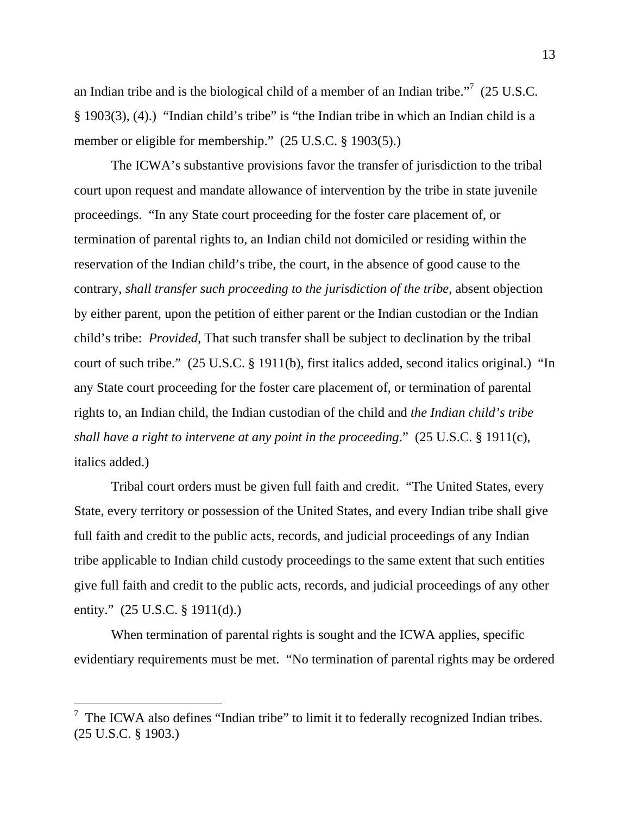an Indian tribe and is the biological child of a member of an Indian tribe."<sup>7</sup> (25 U.S.C. § 1903(3), (4).) "Indian child's tribe" is "the Indian tribe in which an Indian child is a member or eligible for membership." (25 U.S.C. § 1903(5).)

 The ICWA's substantive provisions favor the transfer of jurisdiction to the tribal court upon request and mandate allowance of intervention by the tribe in state juvenile proceedings. "In any State court proceeding for the foster care placement of, or termination of parental rights to, an Indian child not domiciled or residing within the reservation of the Indian child's tribe, the court, in the absence of good cause to the contrary, *shall transfer such proceeding to the jurisdiction of the tribe*, absent objection by either parent, upon the petition of either parent or the Indian custodian or the Indian child's tribe: *Provided*, That such transfer shall be subject to declination by the tribal court of such tribe." (25 U.S.C. § 1911(b), first italics added, second italics original.) "In any State court proceeding for the foster care placement of, or termination of parental rights to, an Indian child, the Indian custodian of the child and *the Indian child's tribe shall have a right to intervene at any point in the proceeding*." (25 U.S.C. § 1911(c), italics added.)

 Tribal court orders must be given full faith and credit. "The United States, every State, every territory or possession of the United States, and every Indian tribe shall give full faith and credit to the public acts, records, and judicial proceedings of any Indian tribe applicable to Indian child custody proceedings to the same extent that such entities give full faith and credit to the public acts, records, and judicial proceedings of any other entity." (25 U.S.C. § 1911(d).)

When termination of parental rights is sought and the ICWA applies, specific evidentiary requirements must be met. "No termination of parental rights may be ordered

 $\overline{a}$ 

<sup>7</sup> The ICWA also defines "Indian tribe" to limit it to federally recognized Indian tribes. (25 U.S.C. § 1903.)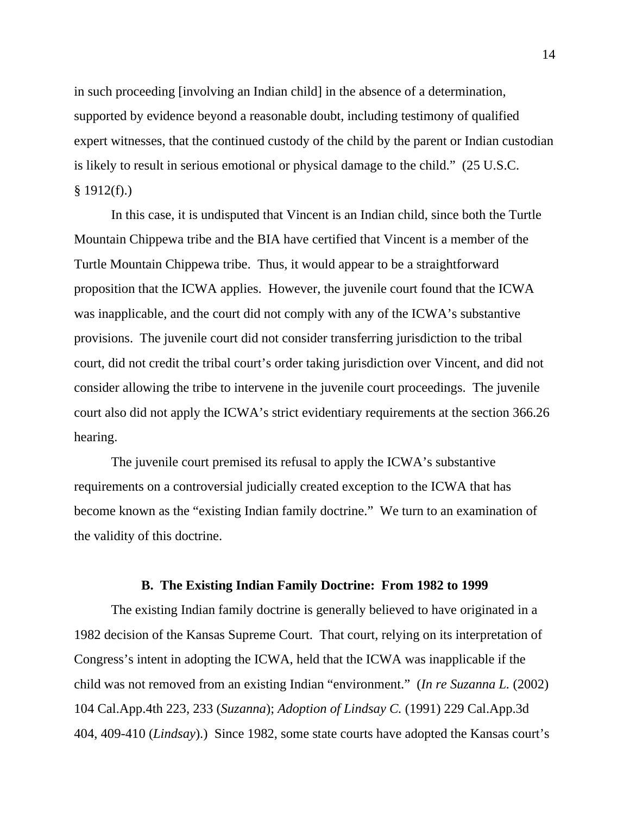in such proceeding [involving an Indian child] in the absence of a determination, supported by evidence beyond a reasonable doubt, including testimony of qualified expert witnesses, that the continued custody of the child by the parent or Indian custodian is likely to result in serious emotional or physical damage to the child." (25 U.S.C.  $§ 1912(f).)$ 

 In this case, it is undisputed that Vincent is an Indian child, since both the Turtle Mountain Chippewa tribe and the BIA have certified that Vincent is a member of the Turtle Mountain Chippewa tribe. Thus, it would appear to be a straightforward proposition that the ICWA applies. However, the juvenile court found that the ICWA was inapplicable, and the court did not comply with any of the ICWA's substantive provisions. The juvenile court did not consider transferring jurisdiction to the tribal court, did not credit the tribal court's order taking jurisdiction over Vincent, and did not consider allowing the tribe to intervene in the juvenile court proceedings. The juvenile court also did not apply the ICWA's strict evidentiary requirements at the section 366.26 hearing.

 The juvenile court premised its refusal to apply the ICWA's substantive requirements on a controversial judicially created exception to the ICWA that has become known as the "existing Indian family doctrine." We turn to an examination of the validity of this doctrine.

#### **B. The Existing Indian Family Doctrine: From 1982 to 1999**

 The existing Indian family doctrine is generally believed to have originated in a 1982 decision of the Kansas Supreme Court. That court, relying on its interpretation of Congress's intent in adopting the ICWA, held that the ICWA was inapplicable if the child was not removed from an existing Indian "environment." (*In re Suzanna L.* (2002) 104 Cal.App.4th 223, 233 (*Suzanna*); *Adoption of Lindsay C.* (1991) 229 Cal.App.3d 404, 409-410 (*Lindsay*).) Since 1982, some state courts have adopted the Kansas court's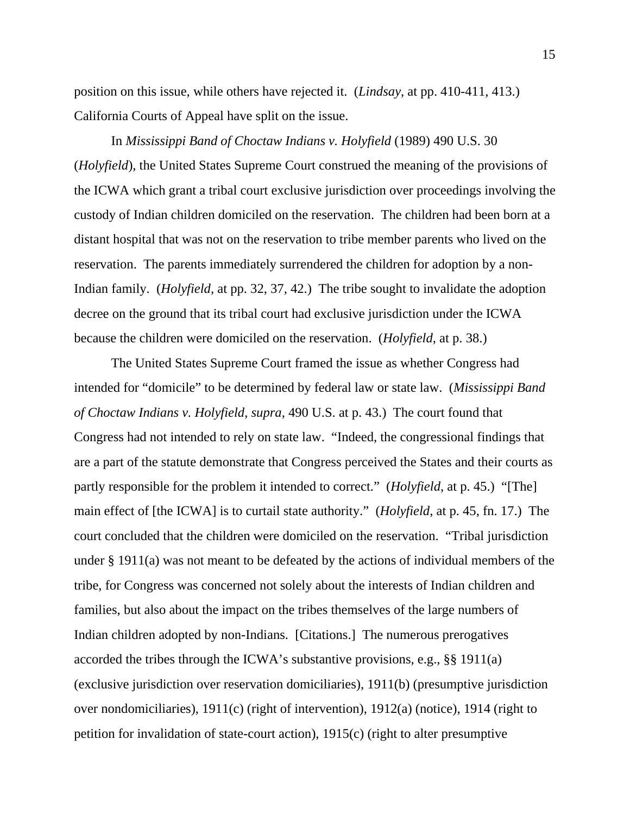position on this issue, while others have rejected it. (*Lindsay*, at pp. 410-411, 413.) California Courts of Appeal have split on the issue.

 In *Mississippi Band of Choctaw Indians v. Holyfield* (1989) 490 U.S. 30 (*Holyfield*), the United States Supreme Court construed the meaning of the provisions of the ICWA which grant a tribal court exclusive jurisdiction over proceedings involving the custody of Indian children domiciled on the reservation. The children had been born at a distant hospital that was not on the reservation to tribe member parents who lived on the reservation. The parents immediately surrendered the children for adoption by a non-Indian family. (*Holyfield*, at pp. 32, 37, 42.) The tribe sought to invalidate the adoption decree on the ground that its tribal court had exclusive jurisdiction under the ICWA because the children were domiciled on the reservation. (*Holyfield*, at p. 38.)

 The United States Supreme Court framed the issue as whether Congress had intended for "domicile" to be determined by federal law or state law. (*Mississippi Band of Choctaw Indians v. Holyfield*, *supra*, 490 U.S. at p. 43.) The court found that Congress had not intended to rely on state law. "Indeed, the congressional findings that are a part of the statute demonstrate that Congress perceived the States and their courts as partly responsible for the problem it intended to correct." (*Holyfield*, at p. 45.) "[The] main effect of [the ICWA] is to curtail state authority." (*Holyfield*, at p. 45, fn. 17.) The court concluded that the children were domiciled on the reservation. "Tribal jurisdiction under § 1911(a) was not meant to be defeated by the actions of individual members of the tribe, for Congress was concerned not solely about the interests of Indian children and families, but also about the impact on the tribes themselves of the large numbers of Indian children adopted by non-Indians. [Citations.] The numerous prerogatives accorded the tribes through the ICWA's substantive provisions, e.g., §§ 1911(a) (exclusive jurisdiction over reservation domiciliaries), 1911(b) (presumptive jurisdiction over nondomiciliaries), 1911(c) (right of intervention), 1912(a) (notice), 1914 (right to petition for invalidation of state-court action), 1915(c) (right to alter presumptive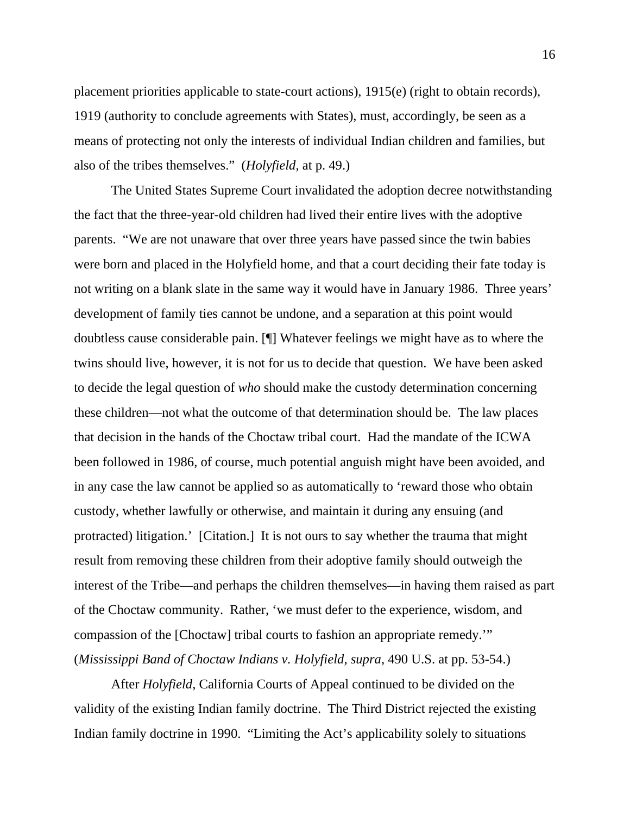placement priorities applicable to state-court actions), 1915(e) (right to obtain records), 1919 (authority to conclude agreements with States), must, accordingly, be seen as a means of protecting not only the interests of individual Indian children and families, but also of the tribes themselves." (*Holyfield*, at p. 49.)

 The United States Supreme Court invalidated the adoption decree notwithstanding the fact that the three-year-old children had lived their entire lives with the adoptive parents. "We are not unaware that over three years have passed since the twin babies were born and placed in the Holyfield home, and that a court deciding their fate today is not writing on a blank slate in the same way it would have in January 1986. Three years' development of family ties cannot be undone, and a separation at this point would doubtless cause considerable pain. [¶] Whatever feelings we might have as to where the twins should live, however, it is not for us to decide that question. We have been asked to decide the legal question of *who* should make the custody determination concerning these children—not what the outcome of that determination should be. The law places that decision in the hands of the Choctaw tribal court. Had the mandate of the ICWA been followed in 1986, of course, much potential anguish might have been avoided, and in any case the law cannot be applied so as automatically to 'reward those who obtain custody, whether lawfully or otherwise, and maintain it during any ensuing (and protracted) litigation.' [Citation.] It is not ours to say whether the trauma that might result from removing these children from their adoptive family should outweigh the interest of the Tribe—and perhaps the children themselves—in having them raised as part of the Choctaw community. Rather, 'we must defer to the experience, wisdom, and compassion of the [Choctaw] tribal courts to fashion an appropriate remedy.'" (*Mississippi Band of Choctaw Indians v. Holyfield*, *supra*, 490 U.S. at pp. 53-54.)

 After *Holyfield*, California Courts of Appeal continued to be divided on the validity of the existing Indian family doctrine. The Third District rejected the existing Indian family doctrine in 1990. "Limiting the Act's applicability solely to situations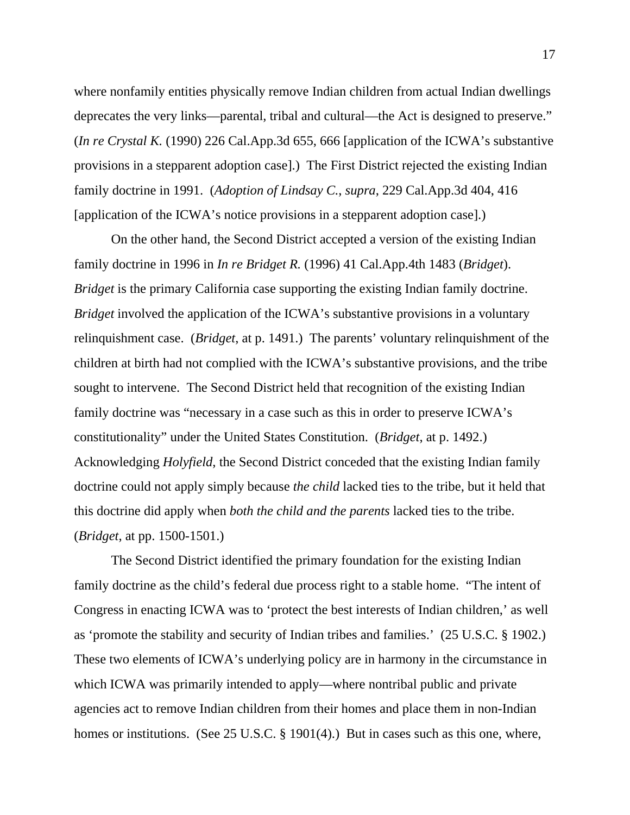where nonfamily entities physically remove Indian children from actual Indian dwellings deprecates the very links—parental, tribal and cultural—the Act is designed to preserve." (*In re Crystal K.* (1990) 226 Cal.App.3d 655, 666 [application of the ICWA's substantive provisions in a stepparent adoption case].) The First District rejected the existing Indian family doctrine in 1991. (*Adoption of Lindsay C.*, *supra*, 229 Cal.App.3d 404, 416 [application of the ICWA's notice provisions in a stepparent adoption case].)

 On the other hand, the Second District accepted a version of the existing Indian family doctrine in 1996 in *In re Bridget R.* (1996) 41 Cal.App.4th 1483 (*Bridget*). *Bridget* is the primary California case supporting the existing Indian family doctrine. *Bridget* involved the application of the ICWA's substantive provisions in a voluntary relinquishment case. (*Bridget*, at p. 1491.) The parents' voluntary relinquishment of the children at birth had not complied with the ICWA's substantive provisions, and the tribe sought to intervene. The Second District held that recognition of the existing Indian family doctrine was "necessary in a case such as this in order to preserve ICWA's constitutionality" under the United States Constitution. (*Bridget*, at p. 1492.) Acknowledging *Holyfield*, the Second District conceded that the existing Indian family doctrine could not apply simply because *the child* lacked ties to the tribe, but it held that this doctrine did apply when *both the child and the parents* lacked ties to the tribe. (*Bridget*, at pp. 1500-1501.)

 The Second District identified the primary foundation for the existing Indian family doctrine as the child's federal due process right to a stable home. "The intent of Congress in enacting ICWA was to 'protect the best interests of Indian children,' as well as 'promote the stability and security of Indian tribes and families.' (25 U.S.C. § 1902.) These two elements of ICWA's underlying policy are in harmony in the circumstance in which ICWA was primarily intended to apply—where nontribal public and private agencies act to remove Indian children from their homes and place them in non-Indian homes or institutions. (See 25 U.S.C. § 1901(4).) But in cases such as this one, where,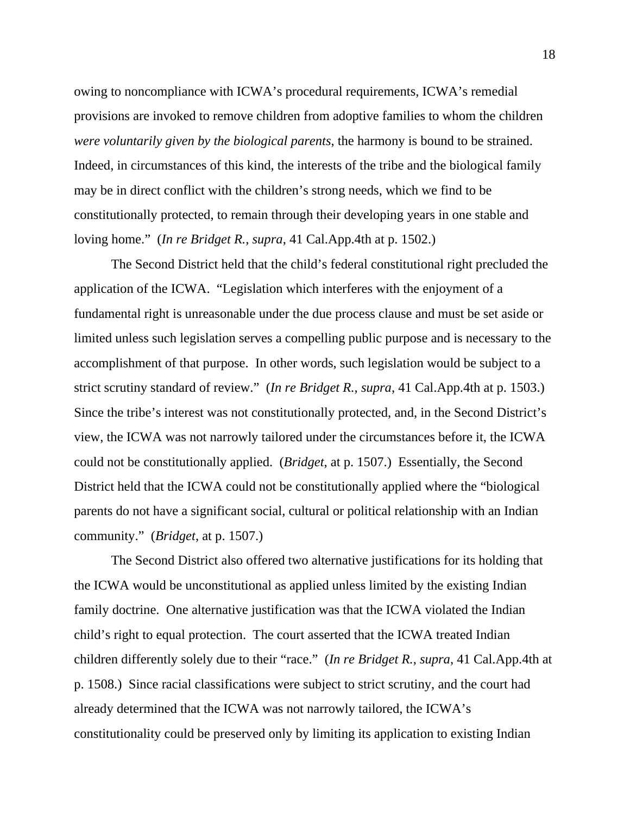owing to noncompliance with ICWA's procedural requirements, ICWA's remedial provisions are invoked to remove children from adoptive families to whom the children *were voluntarily given by the biological parents*, the harmony is bound to be strained. Indeed, in circumstances of this kind, the interests of the tribe and the biological family may be in direct conflict with the children's strong needs, which we find to be constitutionally protected, to remain through their developing years in one stable and loving home." (*In re Bridget R.*, *supra*, 41 Cal.App.4th at p. 1502.)

 The Second District held that the child's federal constitutional right precluded the application of the ICWA. "Legislation which interferes with the enjoyment of a fundamental right is unreasonable under the due process clause and must be set aside or limited unless such legislation serves a compelling public purpose and is necessary to the accomplishment of that purpose. In other words, such legislation would be subject to a strict scrutiny standard of review." (*In re Bridget R.*, *supra*, 41 Cal.App.4th at p. 1503.) Since the tribe's interest was not constitutionally protected, and, in the Second District's view, the ICWA was not narrowly tailored under the circumstances before it, the ICWA could not be constitutionally applied. (*Bridget*, at p. 1507.) Essentially, the Second District held that the ICWA could not be constitutionally applied where the "biological parents do not have a significant social, cultural or political relationship with an Indian community." (*Bridget*, at p. 1507.)

 The Second District also offered two alternative justifications for its holding that the ICWA would be unconstitutional as applied unless limited by the existing Indian family doctrine. One alternative justification was that the ICWA violated the Indian child's right to equal protection. The court asserted that the ICWA treated Indian children differently solely due to their "race." (*In re Bridget R.*, *supra*, 41 Cal.App.4th at p. 1508.) Since racial classifications were subject to strict scrutiny, and the court had already determined that the ICWA was not narrowly tailored, the ICWA's constitutionality could be preserved only by limiting its application to existing Indian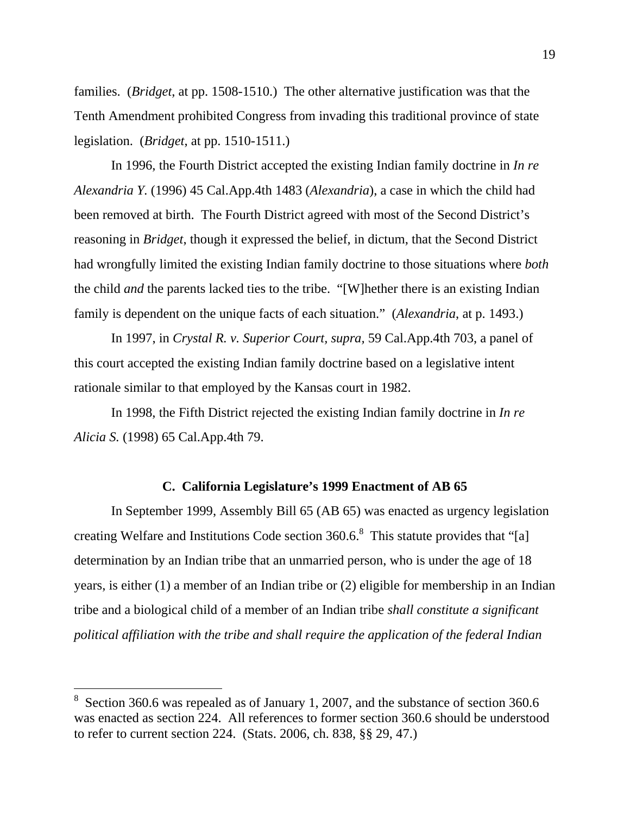families. (*Bridget*, at pp. 1508-1510.) The other alternative justification was that the Tenth Amendment prohibited Congress from invading this traditional province of state legislation. (*Bridget*, at pp. 1510-1511.)

 In 1996, the Fourth District accepted the existing Indian family doctrine in *In re Alexandria Y.* (1996) 45 Cal.App.4th 1483 (*Alexandria*), a case in which the child had been removed at birth. The Fourth District agreed with most of the Second District's reasoning in *Bridget*, though it expressed the belief, in dictum, that the Second District had wrongfully limited the existing Indian family doctrine to those situations where *both* the child *and* the parents lacked ties to the tribe. "[W]hether there is an existing Indian family is dependent on the unique facts of each situation." (*Alexandria*, at p. 1493.)

 In 1997, in *Crystal R. v. Superior Court, supra,* 59 Cal.App.4th 703, a panel of this court accepted the existing Indian family doctrine based on a legislative intent rationale similar to that employed by the Kansas court in 1982.

 In 1998, the Fifth District rejected the existing Indian family doctrine in *In re Alicia S.* (1998) 65 Cal.App.4th 79.

### **C. California Legislature's 1999 Enactment of AB 65**

 In September 1999, Assembly Bill 65 (AB 65) was enacted as urgency legislation creating Welfare and Institutions Code section  $360.6$ .<sup>8</sup> This statute provides that "[a] determination by an Indian tribe that an unmarried person, who is under the age of 18 years, is either (1) a member of an Indian tribe or (2) eligible for membership in an Indian tribe and a biological child of a member of an Indian tribe *shall constitute a significant political affiliation with the tribe and shall require the application of the federal Indian* 

 $\overline{a}$ 

<sup>8</sup> Section 360.6 was repealed as of January 1, 2007, and the substance of section 360.6 was enacted as section 224. All references to former section 360.6 should be understood to refer to current section 224. (Stats. 2006, ch. 838, §§ 29, 47.)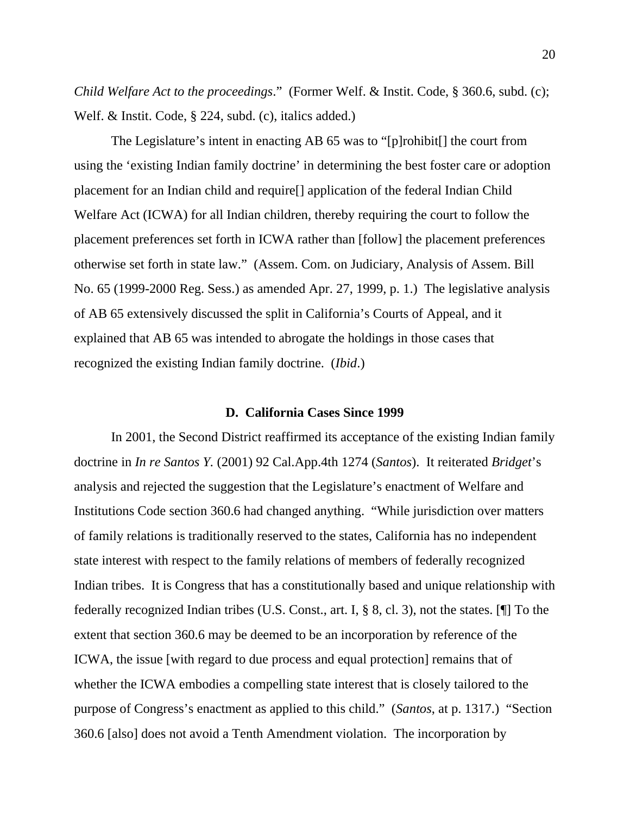*Child Welfare Act to the proceedings*." (Former Welf. & Instit. Code, § 360.6, subd. (c); Welf. & Instit. Code, § 224, subd. (c), italics added.)

 The Legislature's intent in enacting AB 65 was to "[p]rohibit[] the court from using the 'existing Indian family doctrine' in determining the best foster care or adoption placement for an Indian child and require[] application of the federal Indian Child Welfare Act (ICWA) for all Indian children, thereby requiring the court to follow the placement preferences set forth in ICWA rather than [follow] the placement preferences otherwise set forth in state law." (Assem. Com. on Judiciary, Analysis of Assem. Bill No. 65 (1999-2000 Reg. Sess.) as amended Apr. 27, 1999, p. 1.) The legislative analysis of AB 65 extensively discussed the split in California's Courts of Appeal, and it explained that AB 65 was intended to abrogate the holdings in those cases that recognized the existing Indian family doctrine. (*Ibid*.)

### **D. California Cases Since 1999**

 In 2001, the Second District reaffirmed its acceptance of the existing Indian family doctrine in *In re Santos Y.* (2001) 92 Cal.App.4th 1274 (*Santos*). It reiterated *Bridget*'s analysis and rejected the suggestion that the Legislature's enactment of Welfare and Institutions Code section 360.6 had changed anything. "While jurisdiction over matters of family relations is traditionally reserved to the states, California has no independent state interest with respect to the family relations of members of federally recognized Indian tribes. It is Congress that has a constitutionally based and unique relationship with federally recognized Indian tribes (U.S. Const., art. I, § 8, cl. 3), not the states. [¶] To the extent that section 360.6 may be deemed to be an incorporation by reference of the ICWA, the issue [with regard to due process and equal protection] remains that of whether the ICWA embodies a compelling state interest that is closely tailored to the purpose of Congress's enactment as applied to this child." (*Santos*, at p. 1317.) "Section 360.6 [also] does not avoid a Tenth Amendment violation. The incorporation by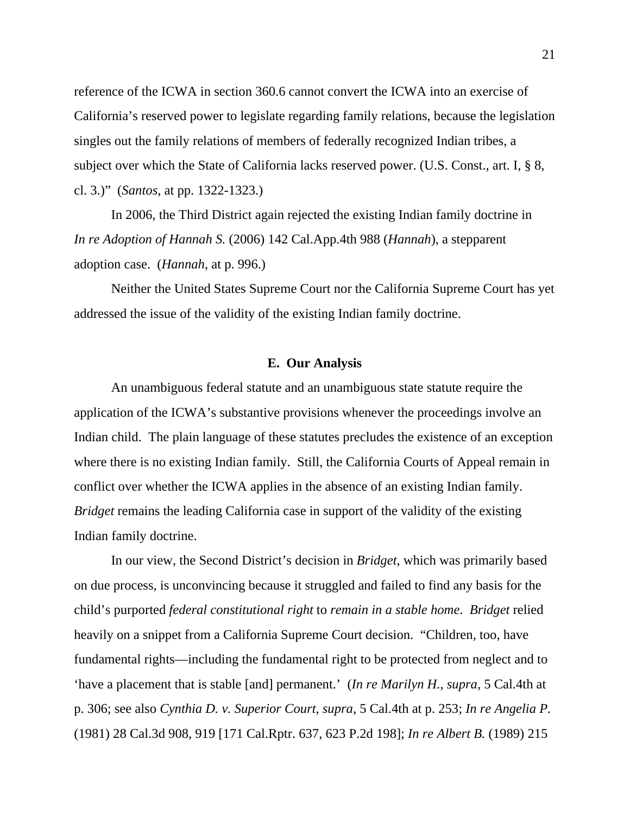reference of the ICWA in section 360.6 cannot convert the ICWA into an exercise of California's reserved power to legislate regarding family relations, because the legislation singles out the family relations of members of federally recognized Indian tribes, a subject over which the State of California lacks reserved power. (U.S. Const., art. I, § 8, cl. 3.)" (*Santos*, at pp. 1322-1323.)

 In 2006, the Third District again rejected the existing Indian family doctrine in *In re Adoption of Hannah S.* (2006) 142 Cal.App.4th 988 (*Hannah*), a stepparent adoption case. (*Hannah*, at p. 996.)

 Neither the United States Supreme Court nor the California Supreme Court has yet addressed the issue of the validity of the existing Indian family doctrine.

### **E. Our Analysis**

 An unambiguous federal statute and an unambiguous state statute require the application of the ICWA's substantive provisions whenever the proceedings involve an Indian child. The plain language of these statutes precludes the existence of an exception where there is no existing Indian family. Still, the California Courts of Appeal remain in conflict over whether the ICWA applies in the absence of an existing Indian family. *Bridget* remains the leading California case in support of the validity of the existing Indian family doctrine.

 In our view, the Second District's decision in *Bridget*, which was primarily based on due process, is unconvincing because it struggled and failed to find any basis for the child's purported *federal constitutional right* to *remain in a stable home*. *Bridget* relied heavily on a snippet from a California Supreme Court decision. "Children, too, have fundamental rights—including the fundamental right to be protected from neglect and to 'have a placement that is stable [and] permanent.' (*In re Marilyn H.*, *supra*, 5 Cal.4th at p. 306; see also *Cynthia D. v. Superior Court*, *supra*, 5 Cal.4th at p. 253; *In re Angelia P.* (1981) 28 Cal.3d 908, 919 [171 Cal.Rptr. 637, 623 P.2d 198]; *In re Albert B.* (1989) 215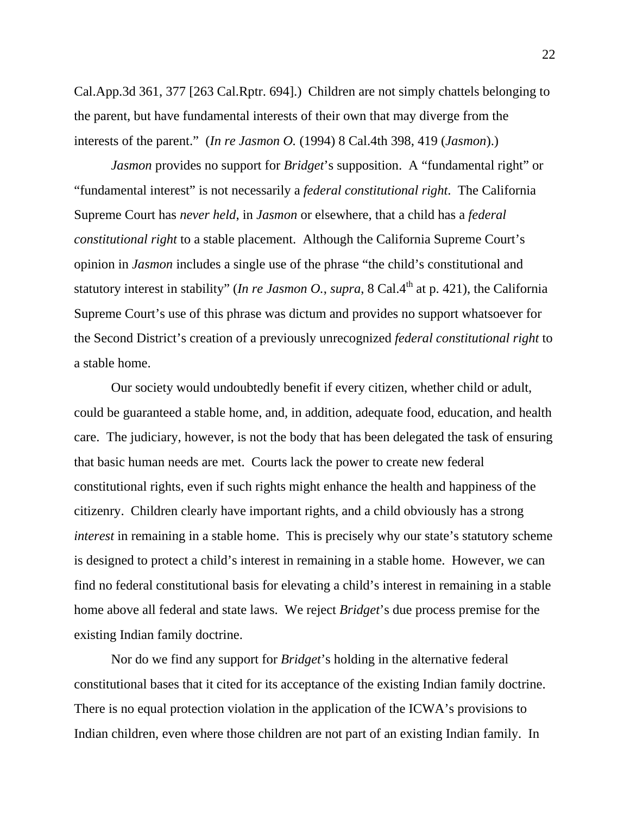Cal.App.3d 361, 377 [263 Cal.Rptr. 694].) Children are not simply chattels belonging to the parent, but have fundamental interests of their own that may diverge from the interests of the parent." (*In re Jasmon O.* (1994) 8 Cal.4th 398, 419 (*Jasmon*).)

*Jasmon* provides no support for *Bridget*'s supposition. A "fundamental right" or "fundamental interest" is not necessarily a *federal constitutional right*. The California Supreme Court has *never held*, in *Jasmon* or elsewhere, that a child has a *federal constitutional right* to a stable placement. Although the California Supreme Court's opinion in *Jasmon* includes a single use of the phrase "the child's constitutional and statutory interest in stability" (*In re Jasmon O.*, *supra*,  $8$  Cal.4<sup>th</sup> at p. 421), the California Supreme Court's use of this phrase was dictum and provides no support whatsoever for the Second District's creation of a previously unrecognized *federal constitutional right* to a stable home.

 Our society would undoubtedly benefit if every citizen, whether child or adult, could be guaranteed a stable home, and, in addition, adequate food, education, and health care. The judiciary, however, is not the body that has been delegated the task of ensuring that basic human needs are met. Courts lack the power to create new federal constitutional rights, even if such rights might enhance the health and happiness of the citizenry. Children clearly have important rights, and a child obviously has a strong *interest* in remaining in a stable home. This is precisely why our state's statutory scheme is designed to protect a child's interest in remaining in a stable home. However, we can find no federal constitutional basis for elevating a child's interest in remaining in a stable home above all federal and state laws. We reject *Bridget*'s due process premise for the existing Indian family doctrine.

 Nor do we find any support for *Bridget*'s holding in the alternative federal constitutional bases that it cited for its acceptance of the existing Indian family doctrine. There is no equal protection violation in the application of the ICWA's provisions to Indian children, even where those children are not part of an existing Indian family. In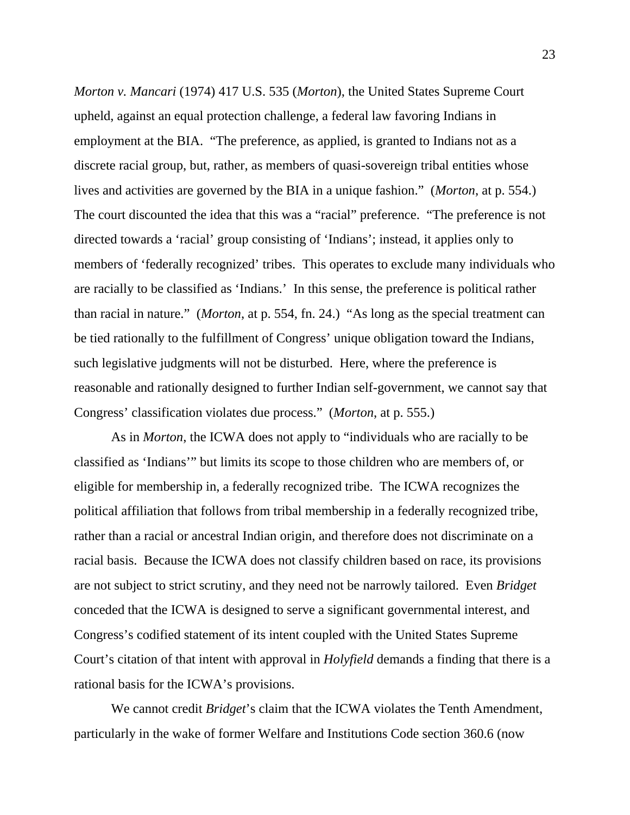*Morton v. Mancari* (1974) 417 U.S. 535 (*Morton*), the United States Supreme Court upheld, against an equal protection challenge, a federal law favoring Indians in employment at the BIA. "The preference, as applied, is granted to Indians not as a discrete racial group, but, rather, as members of quasi-sovereign tribal entities whose lives and activities are governed by the BIA in a unique fashion." (*Morton*, at p. 554.) The court discounted the idea that this was a "racial" preference. "The preference is not directed towards a 'racial' group consisting of 'Indians'; instead, it applies only to members of 'federally recognized' tribes. This operates to exclude many individuals who are racially to be classified as 'Indians.' In this sense, the preference is political rather than racial in nature." (*Morton*, at p. 554, fn. 24.) "As long as the special treatment can be tied rationally to the fulfillment of Congress' unique obligation toward the Indians, such legislative judgments will not be disturbed. Here, where the preference is reasonable and rationally designed to further Indian self-government, we cannot say that Congress' classification violates due process." (*Morton*, at p. 555.)

 As in *Morton*, the ICWA does not apply to "individuals who are racially to be classified as 'Indians'" but limits its scope to those children who are members of, or eligible for membership in, a federally recognized tribe. The ICWA recognizes the political affiliation that follows from tribal membership in a federally recognized tribe, rather than a racial or ancestral Indian origin, and therefore does not discriminate on a racial basis. Because the ICWA does not classify children based on race, its provisions are not subject to strict scrutiny, and they need not be narrowly tailored. Even *Bridget* conceded that the ICWA is designed to serve a significant governmental interest, and Congress's codified statement of its intent coupled with the United States Supreme Court's citation of that intent with approval in *Holyfield* demands a finding that there is a rational basis for the ICWA's provisions.

 We cannot credit *Bridget*'s claim that the ICWA violates the Tenth Amendment, particularly in the wake of former Welfare and Institutions Code section 360.6 (now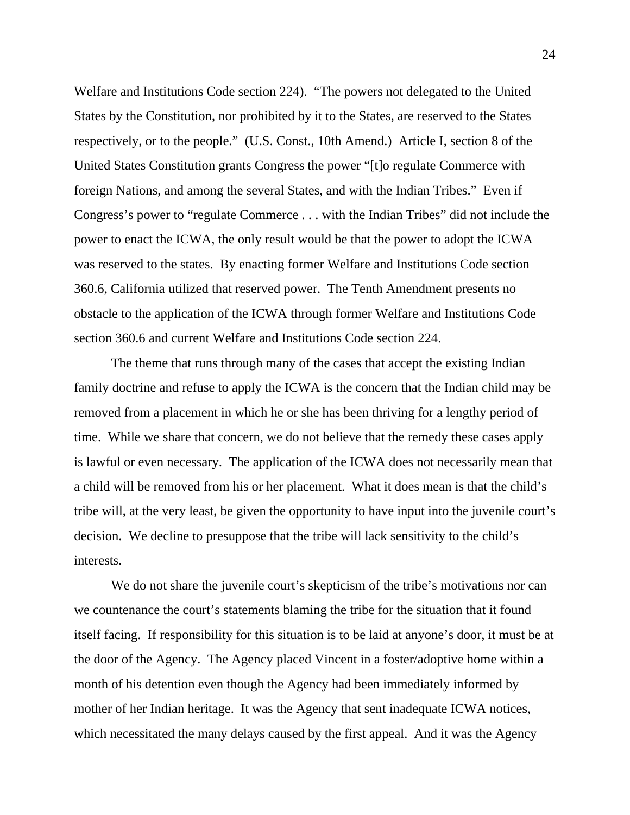Welfare and Institutions Code section 224). "The powers not delegated to the United States by the Constitution, nor prohibited by it to the States, are reserved to the States respectively, or to the people." (U.S. Const., 10th Amend.) Article I, section 8 of the United States Constitution grants Congress the power "[t]o regulate Commerce with foreign Nations, and among the several States, and with the Indian Tribes." Even if Congress's power to "regulate Commerce . . . with the Indian Tribes" did not include the power to enact the ICWA, the only result would be that the power to adopt the ICWA was reserved to the states. By enacting former Welfare and Institutions Code section 360.6, California utilized that reserved power. The Tenth Amendment presents no obstacle to the application of the ICWA through former Welfare and Institutions Code section 360.6 and current Welfare and Institutions Code section 224.

 The theme that runs through many of the cases that accept the existing Indian family doctrine and refuse to apply the ICWA is the concern that the Indian child may be removed from a placement in which he or she has been thriving for a lengthy period of time. While we share that concern, we do not believe that the remedy these cases apply is lawful or even necessary. The application of the ICWA does not necessarily mean that a child will be removed from his or her placement. What it does mean is that the child's tribe will, at the very least, be given the opportunity to have input into the juvenile court's decision. We decline to presuppose that the tribe will lack sensitivity to the child's interests.

We do not share the juvenile court's skepticism of the tribe's motivations nor can we countenance the court's statements blaming the tribe for the situation that it found itself facing. If responsibility for this situation is to be laid at anyone's door, it must be at the door of the Agency. The Agency placed Vincent in a foster/adoptive home within a month of his detention even though the Agency had been immediately informed by mother of her Indian heritage. It was the Agency that sent inadequate ICWA notices, which necessitated the many delays caused by the first appeal. And it was the Agency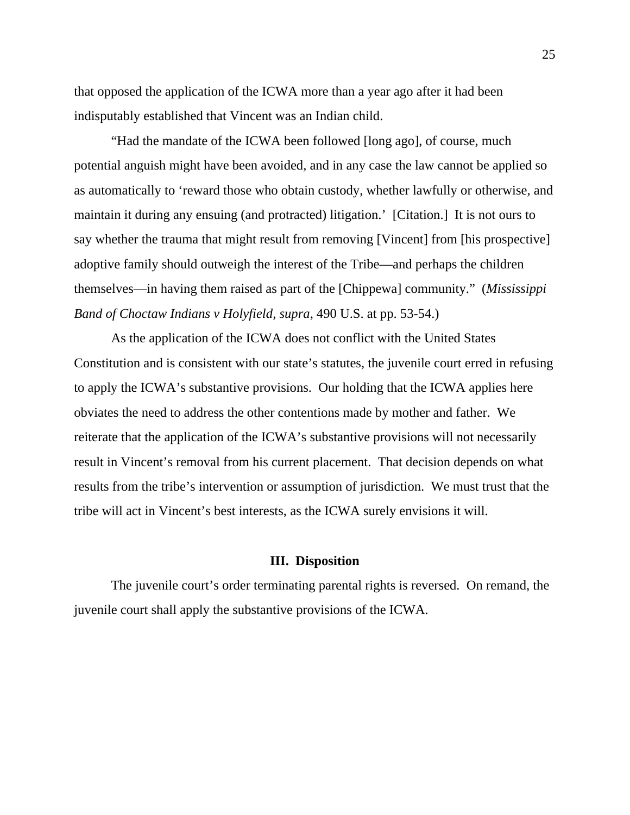that opposed the application of the ICWA more than a year ago after it had been indisputably established that Vincent was an Indian child.

 "Had the mandate of the ICWA been followed [long ago], of course, much potential anguish might have been avoided, and in any case the law cannot be applied so as automatically to 'reward those who obtain custody, whether lawfully or otherwise, and maintain it during any ensuing (and protracted) litigation.' [Citation.] It is not ours to say whether the trauma that might result from removing [Vincent] from [his prospective] adoptive family should outweigh the interest of the Tribe—and perhaps the children themselves—in having them raised as part of the [Chippewa] community." (*Mississippi Band of Choctaw Indians v Holyfield*, *supra*, 490 U.S. at pp. 53-54.)

 As the application of the ICWA does not conflict with the United States Constitution and is consistent with our state's statutes, the juvenile court erred in refusing to apply the ICWA's substantive provisions. Our holding that the ICWA applies here obviates the need to address the other contentions made by mother and father. We reiterate that the application of the ICWA's substantive provisions will not necessarily result in Vincent's removal from his current placement. That decision depends on what results from the tribe's intervention or assumption of jurisdiction. We must trust that the tribe will act in Vincent's best interests, as the ICWA surely envisions it will.

### **III. Disposition**

 The juvenile court's order terminating parental rights is reversed. On remand, the juvenile court shall apply the substantive provisions of the ICWA.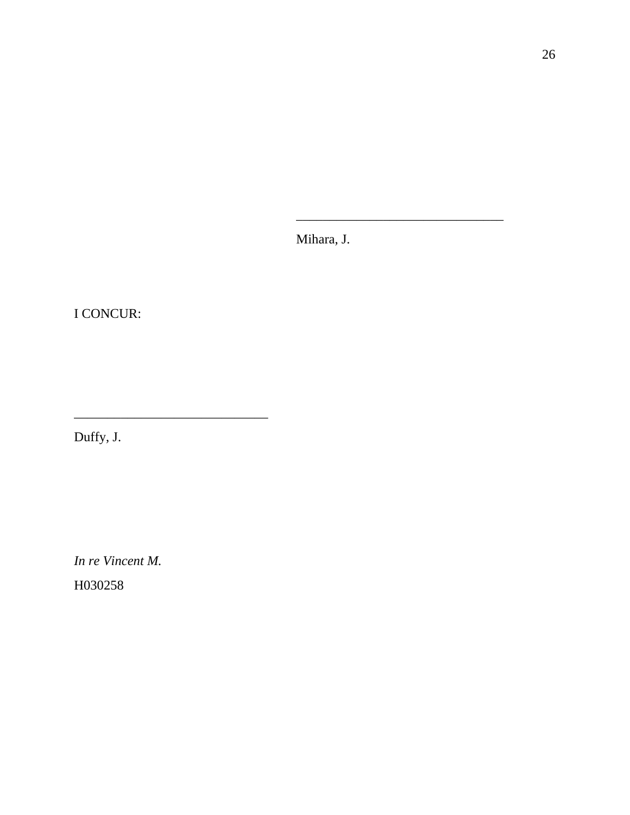Mihara, J.

 $\overline{\phantom{a}}$  , and the contract of the contract of the contract of the contract of the contract of the contract of the contract of the contract of the contract of the contract of the contract of the contract of the contrac

I CONCUR:

Duffy, J.

\_\_\_\_\_\_\_\_\_\_\_\_\_\_\_\_\_\_\_\_\_\_\_\_\_\_\_\_\_

*In re Vincent M.*  H030258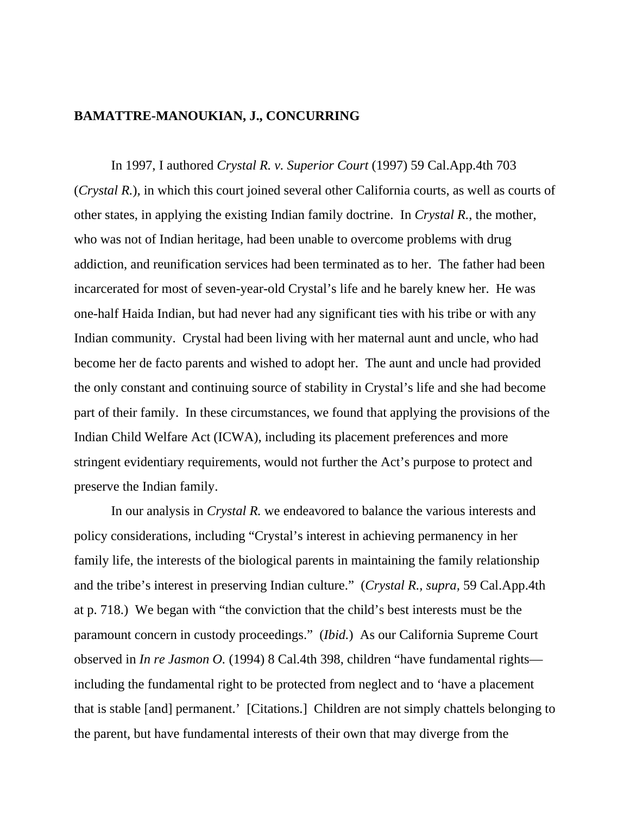### **BAMATTRE-MANOUKIAN, J., CONCURRING**

 In 1997, I authored *Crystal R. v. Superior Court* (1997) 59 Cal.App.4th 703 (*Crystal R.*)*,* in which this court joined several other California courts, as well as courts of other states, in applying the existing Indian family doctrine. In *Crystal R.*, the mother, who was not of Indian heritage, had been unable to overcome problems with drug addiction, and reunification services had been terminated as to her. The father had been incarcerated for most of seven-year-old Crystal's life and he barely knew her. He was one-half Haida Indian, but had never had any significant ties with his tribe or with any Indian community. Crystal had been living with her maternal aunt and uncle, who had become her de facto parents and wished to adopt her. The aunt and uncle had provided the only constant and continuing source of stability in Crystal's life and she had become part of their family. In these circumstances, we found that applying the provisions of the Indian Child Welfare Act (ICWA), including its placement preferences and more stringent evidentiary requirements, would not further the Act's purpose to protect and preserve the Indian family.

In our analysis in *Crystal R.* we endeavored to balance the various interests and policy considerations, including "Crystal's interest in achieving permanency in her family life, the interests of the biological parents in maintaining the family relationship and the tribe's interest in preserving Indian culture." (*Crystal R., supra,* 59 Cal.App.4th at p. 718.) We began with "the conviction that the child's best interests must be the paramount concern in custody proceedings." (*Ibid.*) As our California Supreme Court observed in *In re Jasmon O.* (1994) 8 Cal.4th 398, children "have fundamental rights including the fundamental right to be protected from neglect and to 'have a placement that is stable [and] permanent.' [Citations.] Children are not simply chattels belonging to the parent, but have fundamental interests of their own that may diverge from the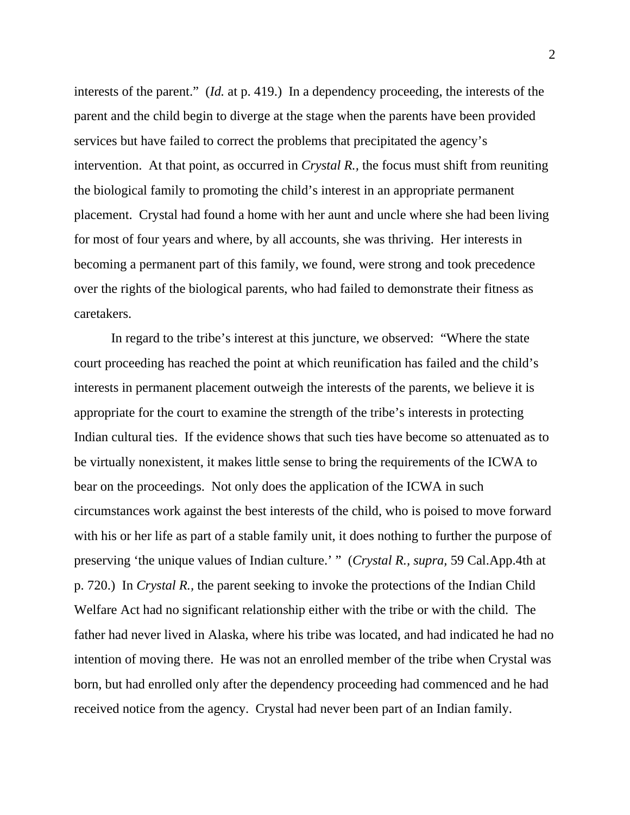interests of the parent." (*Id.* at p. 419.) In a dependency proceeding, the interests of the parent and the child begin to diverge at the stage when the parents have been provided services but have failed to correct the problems that precipitated the agency's intervention. At that point, as occurred in *Crystal R.,* the focus must shift from reuniting the biological family to promoting the child's interest in an appropriate permanent placement. Crystal had found a home with her aunt and uncle where she had been living for most of four years and where, by all accounts, she was thriving. Her interests in becoming a permanent part of this family, we found, were strong and took precedence over the rights of the biological parents, who had failed to demonstrate their fitness as caretakers.

In regard to the tribe's interest at this juncture, we observed: "Where the state court proceeding has reached the point at which reunification has failed and the child's interests in permanent placement outweigh the interests of the parents, we believe it is appropriate for the court to examine the strength of the tribe's interests in protecting Indian cultural ties. If the evidence shows that such ties have become so attenuated as to be virtually nonexistent, it makes little sense to bring the requirements of the ICWA to bear on the proceedings. Not only does the application of the ICWA in such circumstances work against the best interests of the child, who is poised to move forward with his or her life as part of a stable family unit, it does nothing to further the purpose of preserving 'the unique values of Indian culture.' " (*Crystal R., supra,* 59 Cal.App.4th at p. 720.) In *Crystal R.,* the parent seeking to invoke the protections of the Indian Child Welfare Act had no significant relationship either with the tribe or with the child. The father had never lived in Alaska, where his tribe was located, and had indicated he had no intention of moving there. He was not an enrolled member of the tribe when Crystal was born, but had enrolled only after the dependency proceeding had commenced and he had received notice from the agency. Crystal had never been part of an Indian family.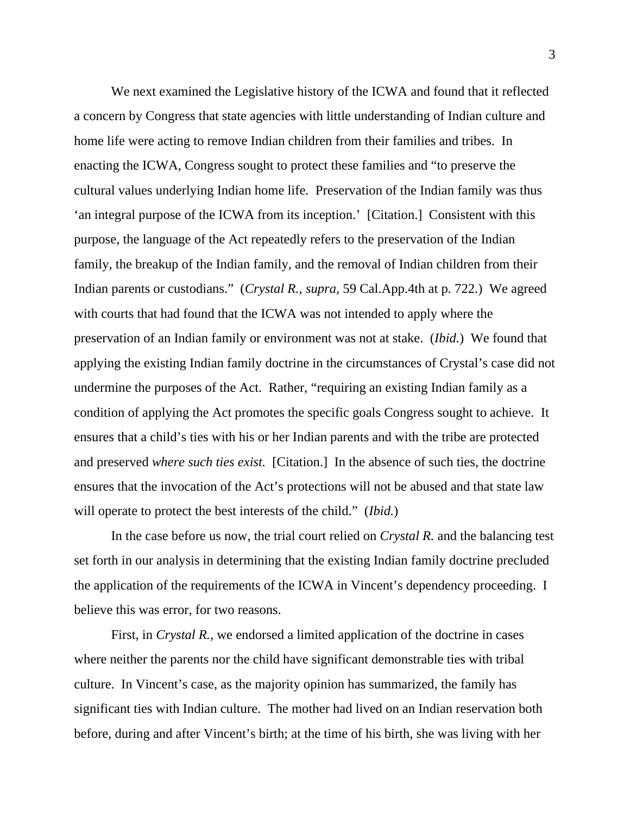We next examined the Legislative history of the ICWA and found that it reflected a concern by Congress that state agencies with little understanding of Indian culture and home life were acting to remove Indian children from their families and tribes. In enacting the ICWA, Congress sought to protect these families and "to preserve the cultural values underlying Indian home life. Preservation of the Indian family was thus 'an integral purpose of the ICWA from its inception.' [Citation.] Consistent with this purpose, the language of the Act repeatedly refers to the preservation of the Indian family, the breakup of the Indian family, and the removal of Indian children from their Indian parents or custodians." (*Crystal R., supra,* 59 Cal.App.4th at p. 722.) We agreed with courts that had found that the ICWA was not intended to apply where the preservation of an Indian family or environment was not at stake. (*Ibid.*) We found that applying the existing Indian family doctrine in the circumstances of Crystal's case did not undermine the purposes of the Act. Rather, "requiring an existing Indian family as a condition of applying the Act promotes the specific goals Congress sought to achieve. It ensures that a child's ties with his or her Indian parents and with the tribe are protected and preserved *where such ties exist.* [Citation.] In the absence of such ties, the doctrine ensures that the invocation of the Act's protections will not be abused and that state law will operate to protect the best interests of the child." (*Ibid.*)

In the case before us now, the trial court relied on *Crystal R.* and the balancing test set forth in our analysis in determining that the existing Indian family doctrine precluded the application of the requirements of the ICWA in Vincent's dependency proceeding. I believe this was error, for two reasons.

First, in *Crystal R.,* we endorsed a limited application of the doctrine in cases where neither the parents nor the child have significant demonstrable ties with tribal culture. In Vincent's case, as the majority opinion has summarized, the family has significant ties with Indian culture. The mother had lived on an Indian reservation both before, during and after Vincent's birth; at the time of his birth, she was living with her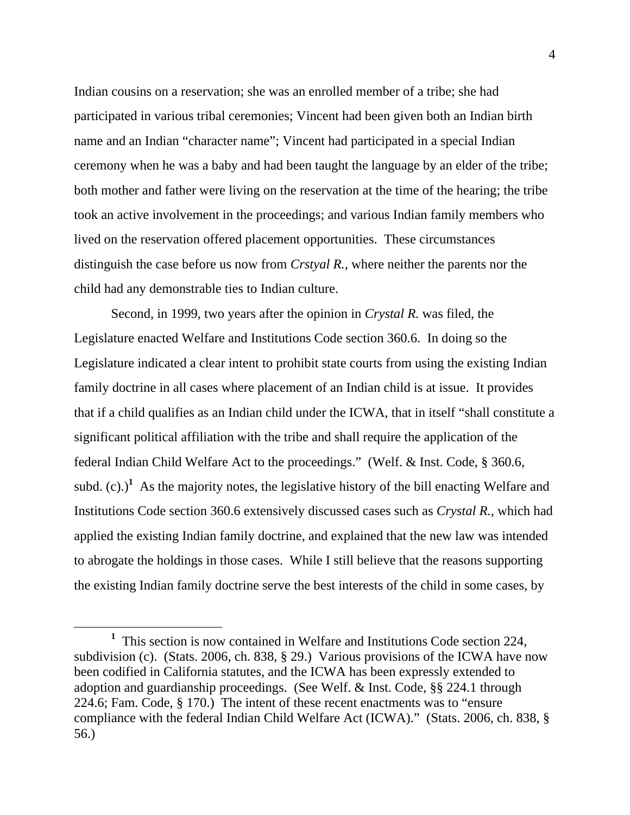Indian cousins on a reservation; she was an enrolled member of a tribe; she had participated in various tribal ceremonies; Vincent had been given both an Indian birth name and an Indian "character name"; Vincent had participated in a special Indian ceremony when he was a baby and had been taught the language by an elder of the tribe; both mother and father were living on the reservation at the time of the hearing; the tribe took an active involvement in the proceedings; and various Indian family members who lived on the reservation offered placement opportunities. These circumstances distinguish the case before us now from *Crstyal R.,* where neither the parents nor the child had any demonstrable ties to Indian culture.

Second, in 1999, two years after the opinion in *Crystal R.* was filed, the Legislature enacted Welfare and Institutions Code section 360.6. In doing so the Legislature indicated a clear intent to prohibit state courts from using the existing Indian family doctrine in all cases where placement of an Indian child is at issue. It provides that if a child qualifies as an Indian child under the ICWA, that in itself "shall constitute a significant political affiliation with the tribe and shall require the application of the federal Indian Child Welfare Act to the proceedings." (Welf. & Inst. Code, § 360.6, subd.  $(c)$ .)<sup>1</sup> As the majority notes, the legislative history of the bill enacting Welfare and Institutions Code section 360.6 extensively discussed cases such as *Crystal R.*, which had applied the existing Indian family doctrine, and explained that the new law was intended to abrogate the holdings in those cases. While I still believe that the reasons supporting the existing Indian family doctrine serve the best interests of the child in some cases, by

<sup>&</sup>lt;u>1</u>  $<sup>1</sup>$  This section is now contained in Welfare and Institutions Code section 224,</sup> subdivision (c). (Stats. 2006, ch. 838, § 29.) Various provisions of the ICWA have now been codified in California statutes, and the ICWA has been expressly extended to adoption and guardianship proceedings. (See Welf. & Inst. Code, §§ 224.1 through 224.6; Fam. Code, § 170.) The intent of these recent enactments was to "ensure compliance with the federal Indian Child Welfare Act (ICWA)." (Stats. 2006, ch. 838, § 56.)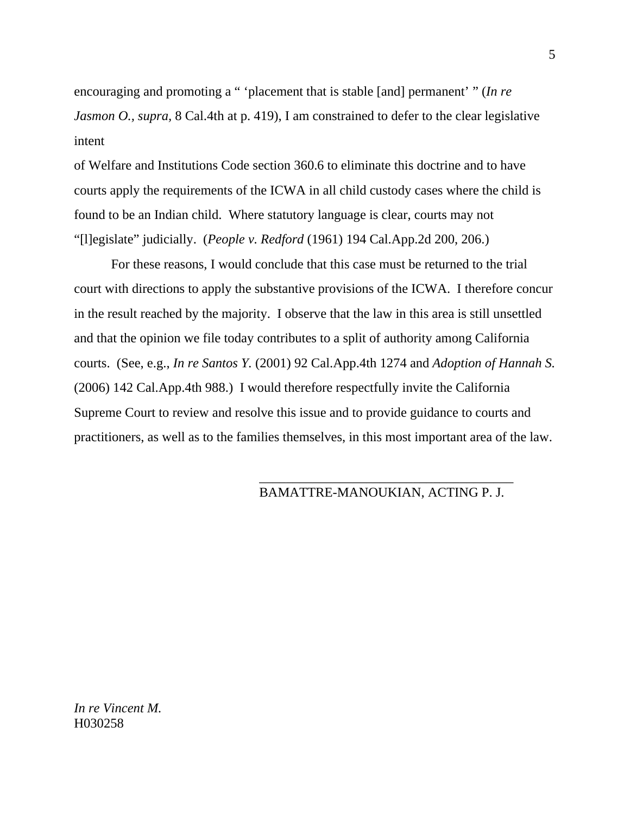encouraging and promoting a " 'placement that is stable [and] permanent' " (*In re Jasmon O., supra,* 8 Cal.4th at p. 419), I am constrained to defer to the clear legislative intent

of Welfare and Institutions Code section 360.6 to eliminate this doctrine and to have courts apply the requirements of the ICWA in all child custody cases where the child is found to be an Indian child. Where statutory language is clear, courts may not "[l]egislate" judicially. (*People v. Redford* (1961) 194 Cal.App.2d 200, 206.)

For these reasons, I would conclude that this case must be returned to the trial court with directions to apply the substantive provisions of the ICWA. I therefore concur in the result reached by the majority. I observe that the law in this area is still unsettled and that the opinion we file today contributes to a split of authority among California courts. (See, e.g., *In re Santos Y.* (2001) 92 Cal.App.4th 1274 and *Adoption of Hannah S.*  (2006) 142 Cal.App.4th 988.) I would therefore respectfully invite the California Supreme Court to review and resolve this issue and to provide guidance to courts and practitioners, as well as to the families themselves, in this most important area of the law.

 $\frac{1}{2}$  , and the contract of the contract of the contract of the contract of the contract of the contract of the contract of the contract of the contract of the contract of the contract of the contract of the contract

# BAMATTRE-MANOUKIAN, ACTING P. J.

*In re Vincent M.*  H030258